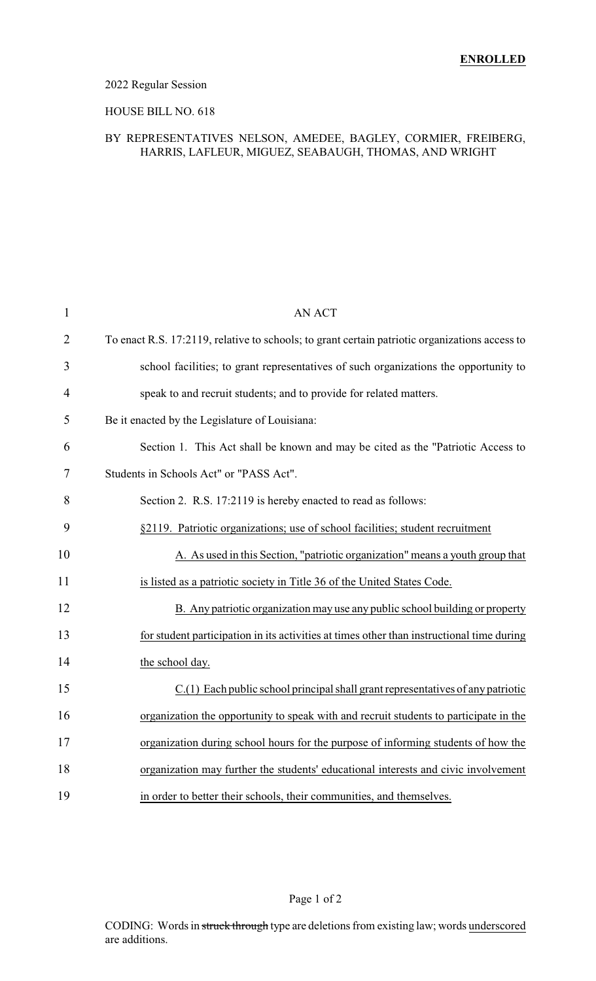#### 2022 Regular Session

#### HOUSE BILL NO. 618

#### BY REPRESENTATIVES NELSON, AMEDEE, BAGLEY, CORMIER, FREIBERG, HARRIS, LAFLEUR, MIGUEZ, SEABAUGH, THOMAS, AND WRIGHT

| $\mathbf{1}$   | <b>AN ACT</b>                                                                                  |
|----------------|------------------------------------------------------------------------------------------------|
| $\overline{2}$ | To enact R.S. 17:2119, relative to schools; to grant certain patriotic organizations access to |
| 3              | school facilities; to grant representatives of such organizations the opportunity to           |
| 4              | speak to and recruit students; and to provide for related matters.                             |
| 5              | Be it enacted by the Legislature of Louisiana:                                                 |
| 6              | Section 1. This Act shall be known and may be cited as the "Patriotic Access to                |
| 7              | Students in Schools Act" or "PASS Act".                                                        |
| 8              | Section 2. R.S. 17:2119 is hereby enacted to read as follows:                                  |
| 9              | §2119. Patriotic organizations; use of school facilities; student recruitment                  |
| 10             | A. As used in this Section, "patriotic organization" means a youth group that                  |
| 11             | is listed as a patriotic society in Title 36 of the United States Code.                        |
| 12             | B. Any patriotic organization may use any public school building or property                   |
| 13             | for student participation in its activities at times other than instructional time during      |
| 14             | the school day.                                                                                |
| 15             | $C(1)$ Each public school principal shall grant representatives of any patriotic               |
| 16             | organization the opportunity to speak with and recruit students to participate in the          |
| 17             | organization during school hours for the purpose of informing students of how the              |
| 18             | organization may further the students' educational interests and civic involvement             |
| 19             | in order to better their schools, their communities, and themselves.                           |

Page 1 of 2